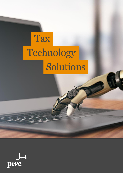# **Tax** Technology Solutions

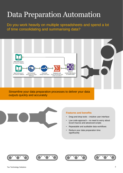### Data Preparation Automation

Do you work heavily on multiple spreadsheets and spend a lot of time consolidating and summarising data?



Streamline your data preparation processes to deliver your data outputs quickly and accurately



#### **Features and benefits**

- Drag-and-drop tools intuitive user interface
- Low code approach no need to worry about Excel macros and advanced scripts
- Repeatable and auditable data workflows
- Reduce your data preparation time significantly







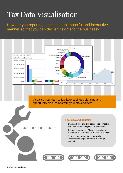## Tax Data Visualisation

How are you reporting tax data in an impactful and interactive manner so that you can deliver insights to the business?

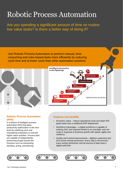### Robotic Process Automation

Are you spending a significant amount of time on routine low value tasks? Is there a better way of doing it?

Use Robotic Process Automation to perform manual, timeconsuming and rules-based tasks more efficiently by reducing cycle time and at lower costs than other automation solutions



#### **Robotic Process Automation (RPA)**

is a feature of intelligent process automation (IPA) that takes productivity optimization to the next level by redefining work and reassigning employees to execute higher-value activities. Process bots are capable of independently performing simple human-like functions such as interpreting, deciding, acting, and learning.



- Economic Value reduce operational costs and attain ROI goals faster than a traditional ERP deployment
- Workforce Advantage a digital workforce is capable of working 24x7 and required limited to no oversight, and can scale in response to business growth with speed, agility and resiliency
- Quality and Control Improvements digitizes expensive and error prone manual processes. Every step in the process, every activity performed, and all sources of data have a digital audit trail







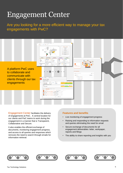### Engagement Center

#### Are you looking for a more efficient way to manage your tax engagements with PwC?

|                                                                                                         | $\sqrt{2}$ . Figures from 2010. The Manuscript of four from $\Delta x = 0$<br><b>INTERNATIONAL CONSUMING CONTRACTOR</b><br>Englishment Editorial<br>Combien 20<br>10011-01<br>throphone at<br>Orthought<br><b>Marchine</b><br>Decket I<br>Cardio X<br>Data Collection<br>Finalisation<br>Planning<br><b>Preparation</b><br>Complete<br>$\begin{array}{l} \displaystyle \frac{\partial \rho_{\text{max}}}{\partial \rho_{\text{max}}} = \frac{\partial \rho_{\text{max}}}{\partial \rho_{\text{max}}}\\ \displaystyle \frac{\partial \rho_{\text{max}}}{\partial \rho_{\text{max}}} = \frac{\partial \rho_{\text{max}}}{\partial \rho_{\text{max}}}\\ \displaystyle \frac{\partial \rho_{\text{max}}}{\partial \rho_{\text{max}}} = \frac{\partial \rho_{\text{max}}}{\partial \rho_{\text{max}}} = \frac{\partial \rho_{\text{max}}}{\partial \rho_{\text{max}}} \end{array}$<br><b>Children Hotel</b><br><b>Continent</b><br>gala<br>Generalistis<br>$\begin{array}{l} \displaystyle \frac{\partial \mathcal{A}(\mathbf{u},\mathbf{u})}{\partial \mathcal{A}(\mathbf{u},\mathbf{u})} \\ \displaystyle \frac{\partial \mathcal{A}(\mathbf{u},\mathbf{u})}{\partial \mathcal{A}(\mathbf{u},\mathbf{u})} \end{array}$<br>or and<br>Para de la<br>STE (1988)<br>Nordly DC<br>Trip (1988-1976)<br><b>Input See Eds. 8:2-17675</b><br>Los Portas (1954)<br>Libraries School<br>$\begin{tabular}{l l l } \hline \textbf{Her} & & \textbf{G} \\ \hline \textbf{Udet} & \textbf{G} & \textbf{G} \\ \hline \textbf{G} & \textbf{G} \\ \textbf{G} & \textbf{G} \\ \textbf{G} & \textbf{G} \\ \textbf{G} & \textbf{G} \\ \textbf{G} & \textbf{G} \\ \textbf{G} & \textbf{G} \\ \textbf{G} & \textbf{G} \\ \textbf{G} & \textbf{G} \\ \end{tabular}$<br><b>Purcello</b><br>Seal 230-2<br>Shin Males<br>Shinami<br>Searan<br>Noon<br>Manuscon<br>Manuscon<br>na man<br>Impiri di<br><b>Aid</b><br>Service Corp.<br>representative control | Welseme.<br>Henry Learng Client                                                                                                                                      |  |
|---------------------------------------------------------------------------------------------------------|------------------------------------------------------------------------------------------------------------------------------------------------------------------------------------------------------------------------------------------------------------------------------------------------------------------------------------------------------------------------------------------------------------------------------------------------------------------------------------------------------------------------------------------------------------------------------------------------------------------------------------------------------------------------------------------------------------------------------------------------------------------------------------------------------------------------------------------------------------------------------------------------------------------------------------------------------------------------------------------------------------------------------------------------------------------------------------------------------------------------------------------------------------------------------------------------------------------------------------------------------------------------------------------------------------------------------------------------------------------------------------------------------------------------------------------------------------------------------------------------------------------------------------------------------------------------------------------------------------------------------------------------------------------------------------------------------------------------------------------------------------------------------------------------------------------------------------------------------------------------------------------------------------------------------|----------------------------------------------------------------------------------------------------------------------------------------------------------------------|--|
| A platform PwC uses<br>to collaborate and<br>communicate with<br>clients through our tax<br>engagements | $\mu \rho^2 = R \nu \rho \nu h = 0.04785$<br>SCECTION CARD AT<br>Requests Status<br>Requests for fillings<br><b>SHOPPING</b><br><b>CONSULTAINING</b><br>153,000,000<br>Distant Avail<br>10000000<br>Requests for groups or entities.<br><b>Insurance Continues Institute</b><br>Continued for<br><b>INVESTIGATION</b><br>WINDOW CONTRACTMENT IN MICHAEL MILE.<br>œ<br>51 Antarcon parts with the charity part 10x 200 07 001 Applitude 17 to 20 Aug 19 19<br>ST ARCON a recordistration recorded auto (Sin Q23 OF 2019 Assembly at 1505), 26 Jan. (202)<br>Vient Colle and clinical collection COUST NIMeparks of F.O. (9) Apr 20<br>recurso meantains anna no Notae anno 1980 ann an California anns ann ann an California<br>Token Callo served information free and of the GCS GT 2010 Agencine of 14.46 (2012) (2012)<br>4.777779772<br>45 YEAR HALVEST MARKE PACING STEPS, MARKER OF CROCKING RESIDENCE RATION OF A STATE OF A STATE OF A STATE OF A                                                                                                                                                                                                                                                                                                                                                                                                                                                                                                                                                                                                                                                                                                                                                                                                                                                                                                                                                                    | MY ENGAGEMENTS.<br>@ rating<br>Defended to the control of<br><b>A DOMESTIC</b><br>wingspace of the<br>A 720 S.M. said from Se<br><b>CONTRACTOR</b><br>WAS STRUCTURED |  |

Engagement Center facilitates the delivery of engagements at PwC. A central location for our clients and PwC teams to work during the engagement in a manner that is Transparent, Collaborative and Secure.

It also enables the efficient exchange of documents, monitoring engagement progress, and access to all queries and responses which removes the need to search through emails for information retrieval.

#### **Features and benefits**

- Live monitoring of engagement progress
- Raising and responding to information requests and queries eliminating the need for email
- Secure exchange of documents for all engagement deliverables: letter, workpaper, reports and filings
- The ability to share reporting and insights with you